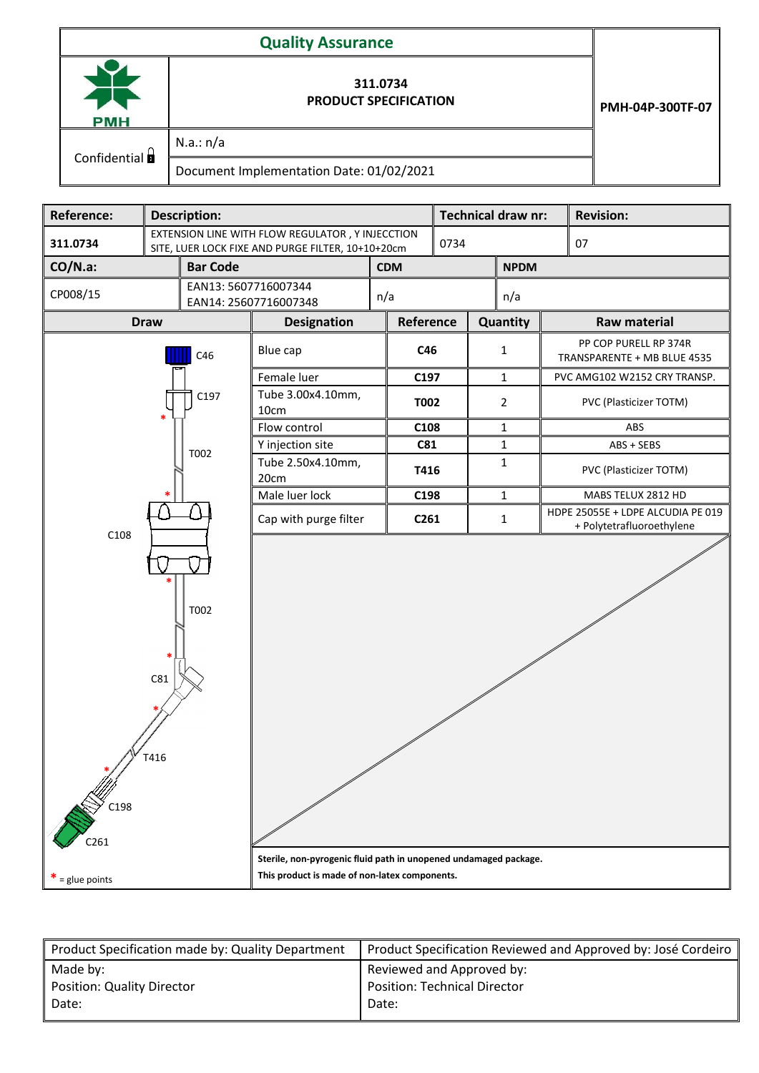| <b>PMH</b>                      | 311.0734<br><b>PRODUCT SPECIFICATION</b> | PMH-04P-300TF-07 |
|---------------------------------|------------------------------------------|------------------|
| Confidential $\mathbf{\hat{a}}$ | N.a.: n/a                                |                  |
|                                 | Document Implementation Date: 01/02/2021 |                  |

| Reference:                              | <b>Description:</b> |                                                                                                                   |                           |            |             | <b>Technical draw nr:</b><br><b>Revision:</b> |                                                                |                              |                                                      |                        |  |
|-----------------------------------------|---------------------|-------------------------------------------------------------------------------------------------------------------|---------------------------|------------|-------------|-----------------------------------------------|----------------------------------------------------------------|------------------------------|------------------------------------------------------|------------------------|--|
| 311.0734                                |                     | EXTENSION LINE WITH FLOW REGULATOR, Y INJECCTION<br>SITE, LUER LOCK FIXE AND PURGE FILTER, 10+10+20cm             |                           |            |             | 0734<br>07                                    |                                                                |                              |                                                      |                        |  |
| $CO/N.a$ :<br><b>Bar Code</b>           |                     |                                                                                                                   |                           | <b>CDM</b> |             | <b>NPDM</b>                                   |                                                                |                              |                                                      |                        |  |
| CP008/15                                |                     | EAN13: 5607716007344<br>n/a<br>EAN14: 25607716007348                                                              |                           |            |             | n/a                                           |                                                                |                              |                                                      |                        |  |
|                                         | <b>Draw</b>         |                                                                                                                   | <b>Designation</b>        | Reference  |             |                                               |                                                                | Quantity                     | <b>Raw material</b>                                  |                        |  |
| C46                                     |                     |                                                                                                                   | Blue cap                  |            | C46         |                                               | $\mathbf{1}$                                                   |                              | PP COP PURELL RP 374R<br>TRANSPARENTE + MB BLUE 4535 |                        |  |
|                                         |                     |                                                                                                                   | C197<br>Female luer       |            |             | $\mathbf{1}$                                  |                                                                | PVC AMG102 W2152 CRY TRANSP. |                                                      |                        |  |
|                                         |                     | C197                                                                                                              | Tube 3.00x4.10mm,<br>10cm |            | <b>T002</b> |                                               | $\overline{2}$                                                 |                              |                                                      | PVC (Plasticizer TOTM) |  |
|                                         |                     |                                                                                                                   | Flow control              |            | C108        |                                               |                                                                | $\mathbf{1}$                 |                                                      | ABS                    |  |
|                                         |                     | T002                                                                                                              | Y injection site          |            | <b>C81</b>  |                                               |                                                                | $\mathbf{1}$                 |                                                      | ABS + SEBS             |  |
|                                         |                     |                                                                                                                   | Tube 2.50x4.10mm,<br>20cm |            | T416        |                                               |                                                                | $\mathbf 1$                  |                                                      | PVC (Plasticizer TOTM) |  |
|                                         |                     |                                                                                                                   | Male luer lock            |            | C198        |                                               | $\mathbf{1}$                                                   |                              | MABS TELUX 2812 HD                                   |                        |  |
| C108                                    |                     | Cap with purge filter<br>C261                                                                                     |                           |            |             | $\mathbf{1}$                                  | HDPE 25055E + LDPE ALCUDIA PE 019<br>+ Polytetrafluoroethylene |                              |                                                      |                        |  |
| T002<br>C81<br>T416<br>C <sub>261</sub> |                     |                                                                                                                   |                           |            |             |                                               |                                                                |                              |                                                      |                        |  |
|                                         |                     | Sterile, non-pyrogenic fluid path in unopened undamaged package.<br>This product is made of non-latex components. |                           |            |             |                                               |                                                                |                              |                                                      |                        |  |
| $=$ glue points                         |                     |                                                                                                                   |                           |            |             |                                               |                                                                |                              |                                                      |                        |  |

| Product Specification made by: Quality Department | Product Specification Reviewed and Approved by: José Cordeiro |  |  |  |  |
|---------------------------------------------------|---------------------------------------------------------------|--|--|--|--|
| Made by:                                          | Reviewed and Approved by:                                     |  |  |  |  |
| <b>Position: Quality Director</b>                 | <b>Position: Technical Director</b>                           |  |  |  |  |
| Date:                                             | Date:                                                         |  |  |  |  |
|                                                   |                                                               |  |  |  |  |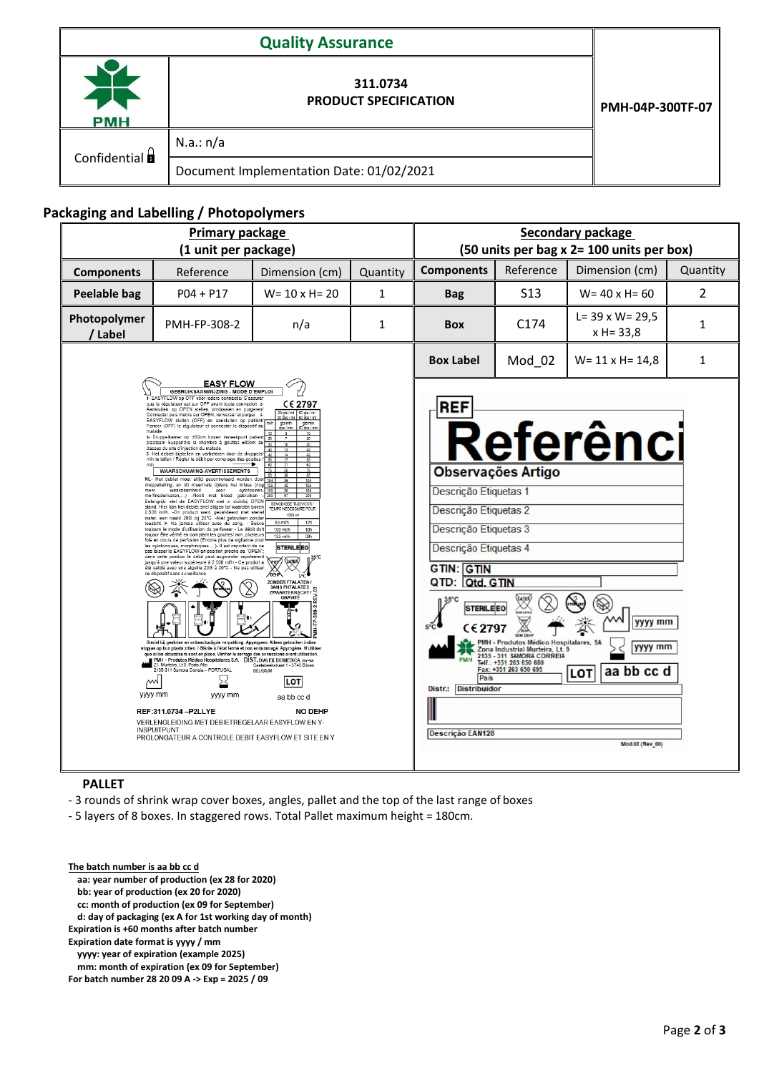| <b>PMH</b>   | 311.0734<br><b>PRODUCT SPECIFICATION</b> | PMH-04P-300TF-07 |
|--------------|------------------------------------------|------------------|
|              | N.a.: n/a                                |                  |
| Confidential | Document Implementation Date: 01/02/2021 |                  |

## **Packaging and Labelling / Photopolymers**

| Primary package<br>(1 unit per package) |                                                                                                                                                                                                                                                                                                                                                                                                                                                                                                                                                                                                                                                                                                                                                                                                                                                                                                                                                                                                                                                                                                                                                                                                                                                                                                                                                                                                                                                                                                                                                                                                                                                                                                                                                                                                                                                                                                                                                                                                                                                                                                                                                                                                                                                                                                                                                                                                                                                                                                                                                                                                                                                                                                                                                                                                                                                                                                          |                        |              |                   |                                                                                                                                                                                                                                                                                                                                                                                                                | Secondary package<br>(50 units per bag x 2= 100 units per box)          |              |
|-----------------------------------------|----------------------------------------------------------------------------------------------------------------------------------------------------------------------------------------------------------------------------------------------------------------------------------------------------------------------------------------------------------------------------------------------------------------------------------------------------------------------------------------------------------------------------------------------------------------------------------------------------------------------------------------------------------------------------------------------------------------------------------------------------------------------------------------------------------------------------------------------------------------------------------------------------------------------------------------------------------------------------------------------------------------------------------------------------------------------------------------------------------------------------------------------------------------------------------------------------------------------------------------------------------------------------------------------------------------------------------------------------------------------------------------------------------------------------------------------------------------------------------------------------------------------------------------------------------------------------------------------------------------------------------------------------------------------------------------------------------------------------------------------------------------------------------------------------------------------------------------------------------------------------------------------------------------------------------------------------------------------------------------------------------------------------------------------------------------------------------------------------------------------------------------------------------------------------------------------------------------------------------------------------------------------------------------------------------------------------------------------------------------------------------------------------------------------------------------------------------------------------------------------------------------------------------------------------------------------------------------------------------------------------------------------------------------------------------------------------------------------------------------------------------------------------------------------------------------------------------------------------------------------------------------------------------|------------------------|--------------|-------------------|----------------------------------------------------------------------------------------------------------------------------------------------------------------------------------------------------------------------------------------------------------------------------------------------------------------------------------------------------------------------------------------------------------------|-------------------------------------------------------------------------|--------------|
| <b>Components</b>                       | Reference                                                                                                                                                                                                                                                                                                                                                                                                                                                                                                                                                                                                                                                                                                                                                                                                                                                                                                                                                                                                                                                                                                                                                                                                                                                                                                                                                                                                                                                                                                                                                                                                                                                                                                                                                                                                                                                                                                                                                                                                                                                                                                                                                                                                                                                                                                                                                                                                                                                                                                                                                                                                                                                                                                                                                                                                                                                                                                | Dimension (cm)         | Quantity     | <b>Components</b> | Reference                                                                                                                                                                                                                                                                                                                                                                                                      | Dimension (cm)                                                          | Quantity     |
| <b>Peelable bag</b>                     | $P04 + P17$                                                                                                                                                                                                                                                                                                                                                                                                                                                                                                                                                                                                                                                                                                                                                                                                                                                                                                                                                                                                                                                                                                                                                                                                                                                                                                                                                                                                                                                                                                                                                                                                                                                                                                                                                                                                                                                                                                                                                                                                                                                                                                                                                                                                                                                                                                                                                                                                                                                                                                                                                                                                                                                                                                                                                                                                                                                                                              | $W = 10 \times H = 20$ | $\mathbf{1}$ | <b>Bag</b>        | S <sub>13</sub>                                                                                                                                                                                                                                                                                                                                                                                                | $W = 40xH = 60$                                                         | 2            |
| Photopolymer<br>/ Label                 | PMH-FP-308-2                                                                                                                                                                                                                                                                                                                                                                                                                                                                                                                                                                                                                                                                                                                                                                                                                                                                                                                                                                                                                                                                                                                                                                                                                                                                                                                                                                                                                                                                                                                                                                                                                                                                                                                                                                                                                                                                                                                                                                                                                                                                                                                                                                                                                                                                                                                                                                                                                                                                                                                                                                                                                                                                                                                                                                                                                                                                                             | n/a                    | 1            | <b>Box</b>        | C <sub>174</sub>                                                                                                                                                                                                                                                                                                                                                                                               | $L = 39 \times W = 29,5$<br>$x H = 33.8$                                | 1            |
|                                         |                                                                                                                                                                                                                                                                                                                                                                                                                                                                                                                                                                                                                                                                                                                                                                                                                                                                                                                                                                                                                                                                                                                                                                                                                                                                                                                                                                                                                                                                                                                                                                                                                                                                                                                                                                                                                                                                                                                                                                                                                                                                                                                                                                                                                                                                                                                                                                                                                                                                                                                                                                                                                                                                                                                                                                                                                                                                                                          |                        |              | <b>Box Label</b>  | Mod_02                                                                                                                                                                                                                                                                                                                                                                                                         | $W = 11 \times H = 14.8$                                                | $\mathbf{1}$ |
|                                         | <b>EASY FLOW</b><br><b>GEBRUIKSAANWIJZING - MODE D'EMPLOI</b><br>- EASYFLOW op OFF vóór iedere connectie/ S'assurer<br>que le régulateur est sur OFF avant toute connexion. 2-<br>CE 2797<br>Aansluiten, op OPEN stellen, omdraaien en purgeren/<br>60 gts / mi<br>20 gts / mi<br>Connecter puis mettre sur OPEN, renverser et purger 3-<br>60 dps / ml<br>dos / m<br>EASYFLOW sluiten (OFF) en aansluiten op patiënt/<br>ots/min<br>gts/min<br>Fermer (OFF) le régulateur et connecter le dispositif au<br>Íos / min<br>60 dps / min<br>malade<br>4- Druppelkamer op ±80cm boven insteekpunt patient<br>20<br>plaatsen/ Suspendre la chambre à gouttes ±80cm au<br>dessus du site d'injection du malade<br>5- Het debiet bijstellen en verbeteren door de druppels<br>min.te tellen / Régler le débit par comptage des gouttes<br><b>WAARSCHUWING-AVERTISSEMENTS</b><br>NL- Het debiet moet altijd gecontroleerd worden doo<br>druppeltelling, en dit meermals tijdens het infuus (nog<br>125<br>waakzaamheid<br>voor<br>cytotoxines.<br>50<br>150<br>morfinederivaten,) -Nooit met bloed gebruiken<br>Belangrijk: stel de EASYFLOW niet in dichtbij OPEN<br>BENODIGDE TIJD VOOR /<br>stand. Hier kan het debiet snel stijgen tot waarden boven<br>TEMPS NECESSARE POUR<br>2.500 ml/h. -Dit product werd gevalideerd met sterie<br>1000 mi<br>water, een naald 20G bij 20°C. -Niet gebruiken zonder<br>83 ml/h<br>12h<br>toezicht. F- Ne jamais utiliser avec du sang. - Suivre<br>toujours le mode d'utilisation du perfuseur - Le débit doit<br>100 ml/h<br>10h<br>toujour être vérifié en comptant les gouttes/ min, plusieurs<br>125 ml/h<br>08h<br>fois en cours de perfusion (Encore plus de vigilance pour<br>les cytotoxiques, morphiniques  ) Il est important de ne<br><b>STERILE EO</b><br>pas laisser le EASYFLOW en position proche de "OPEN";<br>dans cette position le débit peut augmenter rapidement<br>(DATES)<br>jusqu'à une valeur supérieure à 2.500 ml/h - Ce produit a<br>été validé avec une aiguille 20G à 20°C - Ne pas utiliser<br>ce dispositif sans surveillance<br><b>ZONDER FTALATEN</b><br>SANS PHTALATES<br>G<br>ZWAARTEKRACHT<br>GRAVITÉ<br>Steriel bij gesloten en onbeschadigde verpakking. Apyrogeen. Alleen gebruiken indien<br>stopjes op hun plaats zitten. / Stérile à l'état fermé et non endommagé. Apyrogène. N'utiliser<br>que si les obturateurs sont en place. Vérifier le serrage des connexions avant utilisation.<br>PMH - Produtos Médico Hospitalares, S.A. DIST, DIALEX BIOMEDICA. nv-sa<br>Z.I. Murteira, Lt 9, Porto Alto<br>Caetsbeekstraat 1 - 3740 Bilzen<br>2135-311 Samora Correia - PORTUGAL<br>BELGIUM<br>∼<br><b>LOT</b><br>yyyy mm<br>yyyy mm<br>aa bb cc d<br>REF:311.0734 - P2LLYE<br><b>NO DEHP</b><br>VERLENGLEIDING MET DEBIETREGELAAR EASYFLOW EN Y-<br><b>INSPUITPUNT</b><br>PROLONGATEUR A CONTROLE DEBIT EASYFLOW ET SITE EN Y |                        |              |                   | <b>Observações Artigo</b><br>Descrição Etiquetas 1<br>Descrição Etiquetas 2<br>Descrição Etiquetas 3<br>Descrição Etiquetas 4<br>QTD: Otd. GTIN<br><b>STERILE EO</b><br>$C$ <sub>£</sub> 2797<br>PMH - Produtos Médico Hospitalares, SA<br>Zona Industrial Murteira, Lt. 9<br>2135 - 311 SAMORA CORREIA<br>Telf.: +351 263 650 680<br>Fax: +351 263 650 695<br>Distr.: Distribuidor<br><b>Descrição EAN128</b> | Referênci<br>yyyy mm<br>yyyy mm<br>aa bb cc d<br>LOT<br>Mod.02 (Rev_00) |              |

## **PALLET**

- 3 rounds of shrink wrap cover boxes, angles, pallet and the top of the last range of boxes

- 5 layers of 8 boxes. In staggered rows. Total Pallet maximum height = 180cm.

**The batch number is aa bb cc d aa: year number of production (ex 28 for 2020) bb: year of production (ex 20 for 2020) cc: month of production (ex 09 for September) d: day of packaging (ex A for 1st working day of month) Expiration is +60 months after batch number Expiration date format is yyyy / mm yyyy: year of expiration (example 2025) mm: month of expiration (ex 09 for September) For batch number 28 20 09 A ‐> Exp = 2025 / 09**